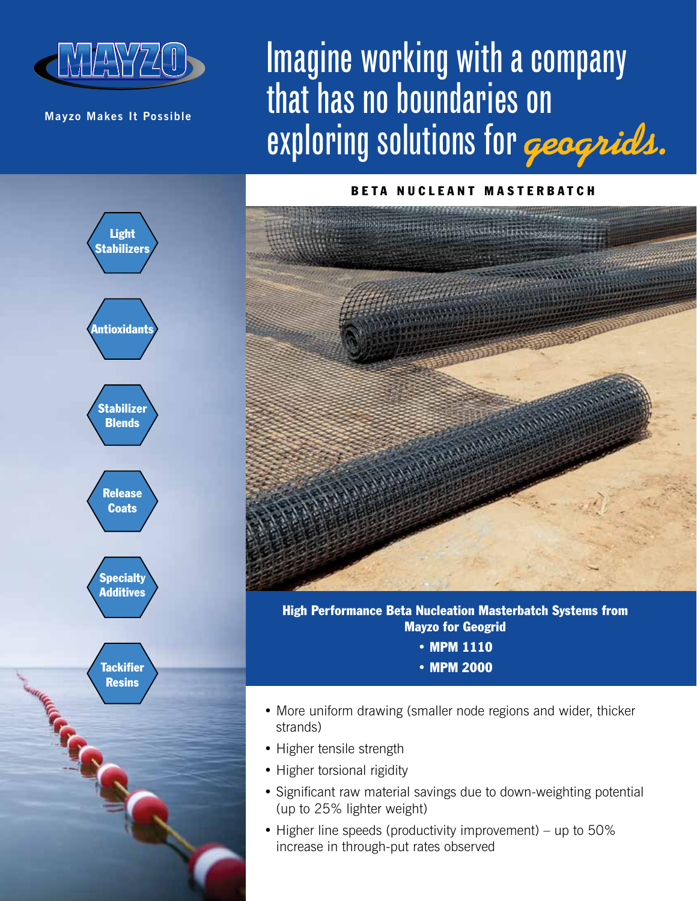

**Mayzo Makes It Possible**

Stabilizer **Blends** 

**Antioxidants** 

Light Stabilizers

Release **Coats** 

**Specialty** Additives

**Tackifier Resins** 

## Imagine working with a company that has no boundaries on exploring solutions for **geogrids.**

## BETA NUCLEANT MASTERBATCH



High Performance Beta Nucleation Masterbatch Systems from Mayzo for Geogrid

- MPM 1110
- MPM 2000
- More uniform drawing (smaller node regions and wider, thicker strands)
- Higher tensile strength
- Higher torsional rigidity
- Significant raw material savings due to down-weighting potential (up to 25% lighter weight)
- Higher line speeds (productivity improvement) up to 50% increase in through-put rates observed